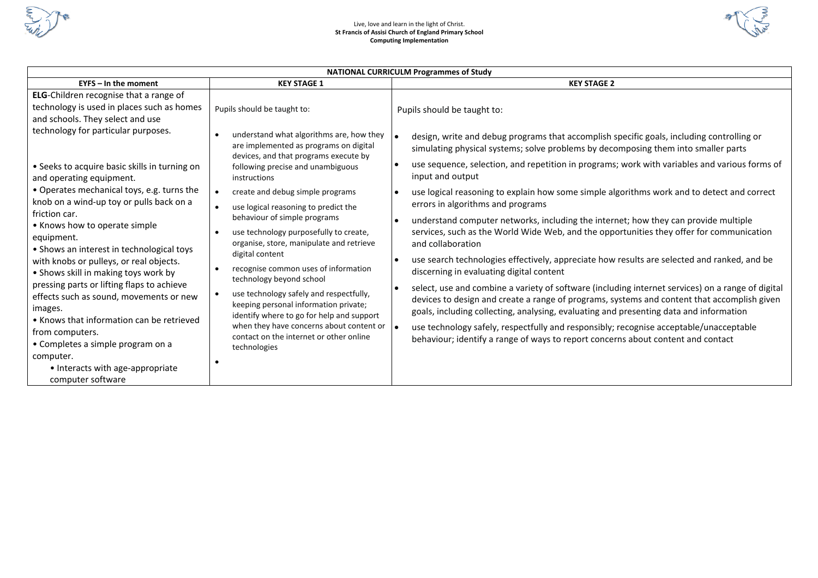

### Live, love and learn in the light of Christ. **St Francis of Assisi Church of England Primary School Computing Implementation**



| <b>NATIONAL CURRICULM Programmes of Study</b>                                                                                                                                                                                                                                                                                                                                                                                                                                                                                                    |                                                                                                                                                                                                                                                                                                                                                                                                                                                                                                                                                                                   |                                                                                                                                                                                                                                                                                                                                                                                                                                                                                                                                                                                                                                                                                                                                                                                                                                                                                                                                                                |  |  |  |  |  |  |  |  |
|--------------------------------------------------------------------------------------------------------------------------------------------------------------------------------------------------------------------------------------------------------------------------------------------------------------------------------------------------------------------------------------------------------------------------------------------------------------------------------------------------------------------------------------------------|-----------------------------------------------------------------------------------------------------------------------------------------------------------------------------------------------------------------------------------------------------------------------------------------------------------------------------------------------------------------------------------------------------------------------------------------------------------------------------------------------------------------------------------------------------------------------------------|----------------------------------------------------------------------------------------------------------------------------------------------------------------------------------------------------------------------------------------------------------------------------------------------------------------------------------------------------------------------------------------------------------------------------------------------------------------------------------------------------------------------------------------------------------------------------------------------------------------------------------------------------------------------------------------------------------------------------------------------------------------------------------------------------------------------------------------------------------------------------------------------------------------------------------------------------------------|--|--|--|--|--|--|--|--|
| $EYPS - In$ the moment                                                                                                                                                                                                                                                                                                                                                                                                                                                                                                                           | <b>KEY STAGE 1</b>                                                                                                                                                                                                                                                                                                                                                                                                                                                                                                                                                                | <b>KEY STAGE 2</b>                                                                                                                                                                                                                                                                                                                                                                                                                                                                                                                                                                                                                                                                                                                                                                                                                                                                                                                                             |  |  |  |  |  |  |  |  |
| <b>ELG-Children recognise that a range of</b><br>technology is used in places such as homes<br>and schools. They select and use                                                                                                                                                                                                                                                                                                                                                                                                                  | Pupils should be taught to:                                                                                                                                                                                                                                                                                                                                                                                                                                                                                                                                                       | Pupils should be taught to:                                                                                                                                                                                                                                                                                                                                                                                                                                                                                                                                                                                                                                                                                                                                                                                                                                                                                                                                    |  |  |  |  |  |  |  |  |
| technology for particular purposes.<br>• Seeks to acquire basic skills in turning on<br>and operating equipment.                                                                                                                                                                                                                                                                                                                                                                                                                                 | understand what algorithms are, how they<br>$\bullet$<br>are implemented as programs on digital<br>devices, and that programs execute by<br>following precise and unambiguous<br>instructions                                                                                                                                                                                                                                                                                                                                                                                     | design, write and debug programs that accomplish specific goals, including controlling or<br>simulating physical systems; solve problems by decomposing them into smaller parts<br>use sequence, selection, and repetition in programs; work with variables and various forms of<br>input and output                                                                                                                                                                                                                                                                                                                                                                                                                                                                                                                                                                                                                                                           |  |  |  |  |  |  |  |  |
| • Operates mechanical toys, e.g. turns the<br>knob on a wind-up toy or pulls back on a<br>friction car.<br>• Knows how to operate simple<br>equipment.<br>• Shows an interest in technological toys<br>with knobs or pulleys, or real objects.<br>• Shows skill in making toys work by<br>pressing parts or lifting flaps to achieve<br>effects such as sound, movements or new<br>images.<br>• Knows that information can be retrieved<br>from computers.<br>• Completes a simple program on a<br>computer.<br>• Interacts with age-appropriate | create and debug simple programs<br>$\bullet$<br>use logical reasoning to predict the<br>$\bullet$<br>behaviour of simple programs<br>use technology purposefully to create,<br>organise, store, manipulate and retrieve<br>digital content<br>recognise common uses of information<br>$\bullet$<br>technology beyond school<br>use technology safely and respectfully,<br>$\bullet$<br>keeping personal information private;<br>identify where to go for help and support<br>when they have concerns about content or<br>contact on the internet or other online<br>technologies | use logical reasoning to explain how some simple algorithms work and to detect and correct<br>errors in algorithms and programs<br>understand computer networks, including the internet; how they can provide multiple<br>services, such as the World Wide Web, and the opportunities they offer for communication<br>and collaboration<br>use search technologies effectively, appreciate how results are selected and ranked, and be<br>discerning in evaluating digital content<br>select, use and combine a variety of software (including internet services) on a range of digital<br>devices to design and create a range of programs, systems and content that accomplish given<br>goals, including collecting, analysing, evaluating and presenting data and information<br>use technology safely, respectfully and responsibly; recognise acceptable/unacceptable<br>behaviour; identify a range of ways to report concerns about content and contact |  |  |  |  |  |  |  |  |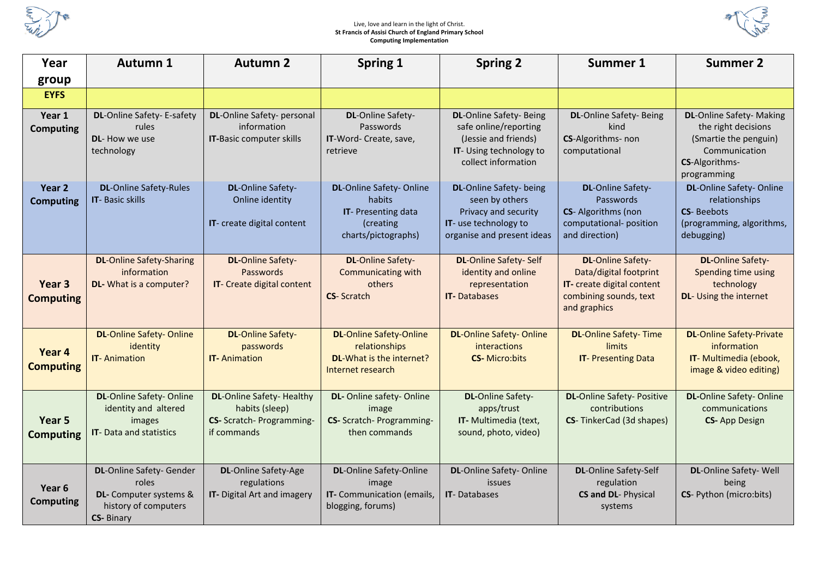

#### Live, love and learn in the light of Christ. **St Francis of Assisi Church of England Primary School Computing Implementation**



| Year                                  | Autumn 1                                                                                                        | <b>Autumn 2</b>                                                                                | Spring 1                                                                                           | <b>Spring 2</b>                                                                                                                  | Summer 1                                                                                                                   | <b>Summer 2</b>                                                                                                                    |
|---------------------------------------|-----------------------------------------------------------------------------------------------------------------|------------------------------------------------------------------------------------------------|----------------------------------------------------------------------------------------------------|----------------------------------------------------------------------------------------------------------------------------------|----------------------------------------------------------------------------------------------------------------------------|------------------------------------------------------------------------------------------------------------------------------------|
| group                                 |                                                                                                                 |                                                                                                |                                                                                                    |                                                                                                                                  |                                                                                                                            |                                                                                                                                    |
| <b>EYFS</b>                           |                                                                                                                 |                                                                                                |                                                                                                    |                                                                                                                                  |                                                                                                                            |                                                                                                                                    |
| Year 1<br><b>Computing</b>            | DL-Online Safety- E-safety<br>rules<br><b>DL-</b> How we use<br>technology                                      | DL-Online Safety- personal<br>information<br>IT-Basic computer skills                          | <b>DL-Online Safety-</b><br>Passwords<br>IT-Word- Create, save,<br>retrieve                        | <b>DL-Online Safety-Being</b><br>safe online/reporting<br>(Jessie and friends)<br>IT- Using technology to<br>collect information | <b>DL-Online Safety-Being</b><br>kind<br>CS-Algorithms- non<br>computational                                               | <b>DL-</b> Online Safety- Making<br>the right decisions<br>(Smartie the penguin)<br>Communication<br>CS-Algorithms-<br>programming |
| Year 2<br><b>Computing</b>            | <b>DL-Online Safety-Rules</b><br><b>IT-Basic skills</b>                                                         | <b>DL-</b> Online Safety-<br>Online identity<br>IT- create digital content                     | DL-Online Safety-Online<br>habits<br><b>IT-Presenting data</b><br>(creating<br>charts/pictographs) | DL-Online Safety- being<br>seen by others<br>Privacy and security<br>IT- use technology to<br>organise and present ideas         | <b>DL-</b> Online Safety-<br>Passwords<br>CS-Algorithms (non<br>computational-position<br>and direction)                   | DL-Online Safety-Online<br>relationships<br><b>CS-Beebots</b><br>(programming, algorithms,<br>debugging)                           |
| Year <sub>3</sub><br><b>Computing</b> | <b>DL-Online Safety-Sharing</b><br>information<br>DL- What is a computer?                                       | <b>DL-Online Safety-</b><br>Passwords<br>IT- Create digital content                            | <b>DL-Online Safety-</b><br>Communicating with<br>others<br><b>CS-Scratch</b>                      | <b>DL-Online Safety-Self</b><br>identity and online<br>representation<br><b>IT-Databases</b>                                     | <b>DL-Online Safety-</b><br>Data/digital footprint<br>IT- create digital content<br>combining sounds, text<br>and graphics | <b>DL-Online Safety-</b><br>Spending time using<br>technology<br>DL- Using the internet                                            |
| Year 4<br><b>Computing</b>            | <b>DL-Online Safety- Online</b><br>identity<br><b>IT-Animation</b>                                              | <b>DL-Online Safety-</b><br>passwords<br><b>IT-Animation</b>                                   | <b>DL-Online Safety-Online</b><br>relationships<br>DL-What is the internet?<br>Internet research   | <b>DL-Online Safety- Online</b><br>interactions<br><b>CS-Micro:bits</b>                                                          | <b>DL-Online Safety-Time</b><br><b>limits</b><br><b>IT-Presenting Data</b>                                                 | <b>DL-Online Safety-Private</b><br>information<br>IT- Multimedia (ebook,<br>image & video editing)                                 |
| Year 5<br><b>Computing</b>            | <b>DL-</b> Online Safety- Online<br>identity and altered<br>images<br><b>IT-Data and statistics</b>             | <b>DL-Online Safety- Healthy</b><br>habits (sleep)<br>CS- Scratch- Programming-<br>if commands | DL- Online safety- Online<br>image<br>CS- Scratch- Programming-<br>then commands                   | <b>DL-</b> Online Safety-<br>apps/trust<br>IT- Multimedia (text,<br>sound, photo, video)                                         | <b>DL-</b> Online Safety- Positive<br>contributions<br>CS-TinkerCad (3d shapes)                                            | <b>DL-</b> Online Safety-Online<br>communications<br><b>CS-App Design</b>                                                          |
| Year 6<br><b>Computing</b>            | <b>DL-</b> Online Safety- Gender<br>roles<br>DL- Computer systems &<br>history of computers<br><b>CS-Binary</b> | <b>DL-Online Safety-Age</b><br>regulations<br>IT- Digital Art and imagery                      | <b>DL-</b> Online Safety-Online<br>image<br>IT- Communication (emails,<br>blogging, forums)        | DL-Online Safety-Online<br>issues<br><b>IT-Databases</b>                                                                         | <b>DL-Online Safety-Self</b><br>regulation<br>CS and DL- Physical<br>systems                                               | DL-Online Safety- Well<br>being<br>CS- Python (micro:bits)                                                                         |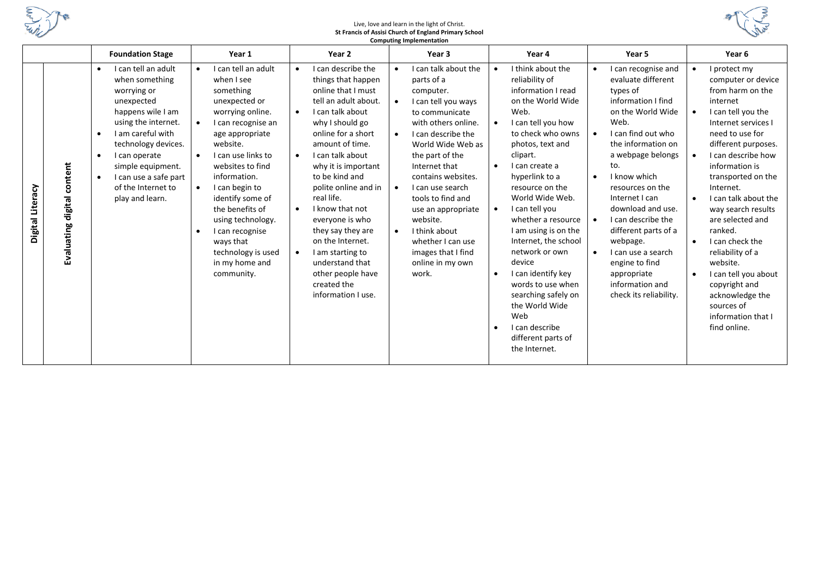

#### Live, love and learn in the light of Christ. **St Francis of Assisi Church of England Primary School Computing Implementation**



|                                                   | <b>Foundation Stage</b>                                                                                                                                                                                                                                                                                                | Year 1                                                                                                                                                                                                                                                                                                                                                                                                        | Year 2                                                                                                                                                                                                                                                                                                                                                                                                                                                                 | Year 3                                                                                                                                                                                                                                                                                                                                                                                                                                                    | Year 4                                                                                                                                                                                                                                                                                                                                                                                                                                                                                                                                                                               | Year 5                                                                                                                                                                                                                                                                                                                                                                                                                                 | Year <sub>6</sub>                                                                                                                                                                                                                                                                                                                                                                                                                                                                                            |
|---------------------------------------------------|------------------------------------------------------------------------------------------------------------------------------------------------------------------------------------------------------------------------------------------------------------------------------------------------------------------------|---------------------------------------------------------------------------------------------------------------------------------------------------------------------------------------------------------------------------------------------------------------------------------------------------------------------------------------------------------------------------------------------------------------|------------------------------------------------------------------------------------------------------------------------------------------------------------------------------------------------------------------------------------------------------------------------------------------------------------------------------------------------------------------------------------------------------------------------------------------------------------------------|-----------------------------------------------------------------------------------------------------------------------------------------------------------------------------------------------------------------------------------------------------------------------------------------------------------------------------------------------------------------------------------------------------------------------------------------------------------|--------------------------------------------------------------------------------------------------------------------------------------------------------------------------------------------------------------------------------------------------------------------------------------------------------------------------------------------------------------------------------------------------------------------------------------------------------------------------------------------------------------------------------------------------------------------------------------|----------------------------------------------------------------------------------------------------------------------------------------------------------------------------------------------------------------------------------------------------------------------------------------------------------------------------------------------------------------------------------------------------------------------------------------|--------------------------------------------------------------------------------------------------------------------------------------------------------------------------------------------------------------------------------------------------------------------------------------------------------------------------------------------------------------------------------------------------------------------------------------------------------------------------------------------------------------|
| content<br>Digital Literacy<br>Evaluating digital | I can tell an adult<br>$\bullet$<br>when something<br>worrying or<br>unexpected<br>happens wile I am<br>using the internet.<br>I am careful with<br>$\bullet$<br>technology devices.<br>I can operate<br>$\bullet$<br>simple equipment.<br>I can use a safe part<br>$\bullet$<br>of the Internet to<br>play and learn. | I can tell an adult<br>$\bullet$<br>when I see<br>something<br>unexpected or<br>worrying online.<br>I can recognise an<br>$\bullet$<br>age appropriate<br>website.<br>I can use links to<br>websites to find<br>information.<br>I can begin to<br>$\bullet$<br>identify some of<br>the benefits of<br>using technology.<br>I can recognise<br>ways that<br>technology is used<br>in my home and<br>community. | I can describe the<br>things that happen<br>online that I must<br>tell an adult about.<br>I can talk about<br>why I should go<br>online for a short<br>amount of time.<br>I can talk about<br>why it is important<br>to be kind and<br>polite online and in<br>real life.<br>I know that not<br>$\bullet$<br>everyone is who<br>they say they are<br>on the Internet.<br>I am starting to<br>understand that<br>other people have<br>created the<br>information I use. | I can talk about the<br>$\bullet$<br>parts of a<br>computer.<br>I can tell you ways<br>$\bullet$<br>to communicate<br>with others online.<br>I can describe the<br>$\bullet$<br>World Wide Web as<br>the part of the<br>Internet that<br>contains websites.<br>I can use search<br>$\bullet$<br>tools to find and<br>use an appropriate<br>website.<br>I think about<br>$\bullet$<br>whether I can use<br>images that I find<br>online in my own<br>work. | I think about the<br>$\bullet$<br>reliability of<br>information I read<br>on the World Wide<br>Web.<br>I can tell you how<br>$\bullet$<br>to check who owns<br>photos, text and<br>clipart.<br>I can create a<br>$\bullet$<br>hyperlink to a<br>resource on the<br>World Wide Web.<br>I can tell you<br>$\bullet$<br>whether a resource<br>I am using is on the<br>Internet, the school<br>network or own<br>device<br>I can identify key<br>$\bullet$<br>words to use when<br>searching safely on<br>the World Wide<br>Web<br>I can describe<br>different parts of<br>the Internet. | I can recognise and<br>evaluate different<br>types of<br>information I find<br>on the World Wide<br>Web.<br>I can find out who<br>the information on<br>a webpage belongs<br>to.<br>I know which<br>$\bullet$<br>resources on the<br>Internet I can<br>download and use.<br>I can describe the<br>different parts of a<br>webpage.<br>I can use a search<br>engine to find<br>appropriate<br>information and<br>check its reliability. | protect my<br>computer or device<br>from harm on the<br>internet<br>I can tell you the<br>Internet services I<br>need to use for<br>different purposes.<br>I can describe how<br>information is<br>transported on the<br>Internet.<br>I can talk about the<br>way search results<br>are selected and<br>ranked.<br>I can check the<br>$\bullet$<br>reliability of a<br>website.<br>I can tell you about<br>$\bullet$<br>copyright and<br>acknowledge the<br>sources of<br>information that I<br>find online. |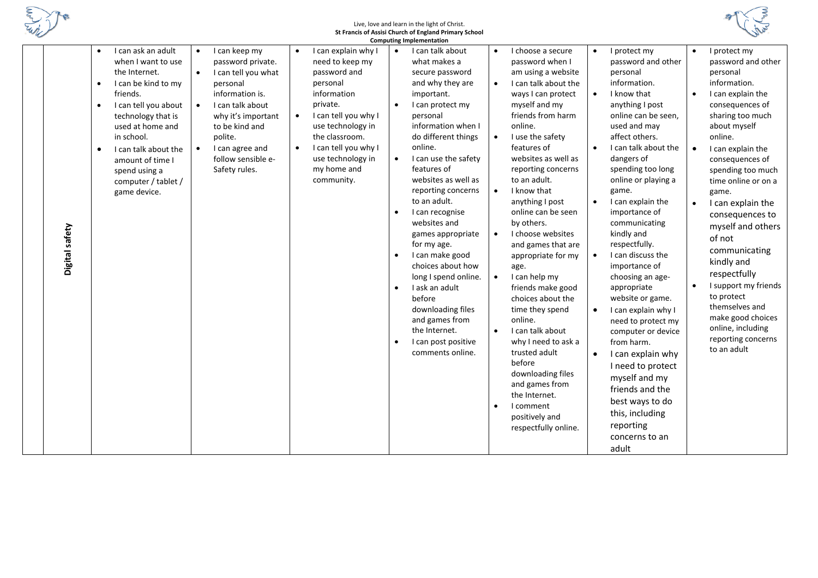

## Live, love and learn in the light of Christ. **St Francis of Assisi Church of England Primary School**



| <b>Computing Implementation</b> |                                                                                                                                                                                                                                                                                                                                      |                                                                                                                                                                                                                                                     |                                                                                                                                                                                                                                                                               |                                                                                                                                                                                                                                                                                                                                                                                                                                                                                                                                                                                                             |                                                                                                                                                                                                                                                                                                                                                                                                                                                                                                                                                                                                                                                                                                                                                                                                |                                                                                                                                                                                                                                                                                                                                                                                                                                                                                                                                                                                                                                                                                                                                                                    |                                                                                                                                                                                                                                                                                                                                                                                                                                                                                                                                           |  |  |  |
|---------------------------------|--------------------------------------------------------------------------------------------------------------------------------------------------------------------------------------------------------------------------------------------------------------------------------------------------------------------------------------|-----------------------------------------------------------------------------------------------------------------------------------------------------------------------------------------------------------------------------------------------------|-------------------------------------------------------------------------------------------------------------------------------------------------------------------------------------------------------------------------------------------------------------------------------|-------------------------------------------------------------------------------------------------------------------------------------------------------------------------------------------------------------------------------------------------------------------------------------------------------------------------------------------------------------------------------------------------------------------------------------------------------------------------------------------------------------------------------------------------------------------------------------------------------------|------------------------------------------------------------------------------------------------------------------------------------------------------------------------------------------------------------------------------------------------------------------------------------------------------------------------------------------------------------------------------------------------------------------------------------------------------------------------------------------------------------------------------------------------------------------------------------------------------------------------------------------------------------------------------------------------------------------------------------------------------------------------------------------------|--------------------------------------------------------------------------------------------------------------------------------------------------------------------------------------------------------------------------------------------------------------------------------------------------------------------------------------------------------------------------------------------------------------------------------------------------------------------------------------------------------------------------------------------------------------------------------------------------------------------------------------------------------------------------------------------------------------------------------------------------------------------|-------------------------------------------------------------------------------------------------------------------------------------------------------------------------------------------------------------------------------------------------------------------------------------------------------------------------------------------------------------------------------------------------------------------------------------------------------------------------------------------------------------------------------------------|--|--|--|
| Digital safety                  | I can ask an adult<br>$\bullet$<br>when I want to use<br>the Internet.<br>I can be kind to my<br>$\bullet$<br>friends.<br>I can tell you about<br>$\bullet$<br>technology that is<br>used at home and<br>in school.<br>I can talk about the<br>$\bullet$<br>amount of time I<br>spend using a<br>computer / tablet /<br>game device. | I can keep my<br>$\bullet$<br>password private.<br>I can tell you what<br>$\bullet$<br>personal<br>information is.<br>I can talk about<br>why it's important<br>to be kind and<br>polite.<br>I can agree and<br>follow sensible e-<br>Safety rules. | I can explain why I<br>$\bullet$<br>need to keep my<br>password and<br>personal<br>information<br>private.<br>I can tell you why I<br>$\bullet$<br>use technology in<br>the classroom.<br>I can tell you why I<br>$\bullet$<br>use technology in<br>my home and<br>community. | I can talk about<br>$\bullet$<br>what makes a<br>secure password<br>and why they are<br>important.<br>I can protect my<br>personal<br>information when I<br>do different things<br>online.<br>I can use the safety<br>$\bullet$<br>features of<br>websites as well as<br>reporting concerns<br>to an adult.<br>I can recognise<br>websites and<br>games appropriate<br>for my age.<br>I can make good<br>choices about how<br>long I spend online.<br>I ask an adult<br>$\bullet$<br>before<br>downloading files<br>and games from<br>the Internet.<br>I can post positive<br>$\bullet$<br>comments online. | I choose a secure<br>$\bullet$<br>password when I<br>am using a website<br>I can talk about the<br>$\bullet$<br>ways I can protect<br>myself and my<br>friends from harm<br>online.<br>$\bullet$<br>I use the safety<br>features of<br>websites as well as<br>reporting concerns<br>to an adult.<br>I know that<br>$\bullet$<br>anything I post<br>online can be seen<br>by others.<br>$\bullet$<br>I choose websites<br>and games that are<br>appropriate for my<br>age.<br>I can help my<br>$\bullet$<br>friends make good<br>choices about the<br>time they spend<br>online.<br>$\bullet$<br>I can talk about<br>why I need to ask a<br>trusted adult<br>before<br>downloading files<br>and games from<br>the Internet.<br>I comment<br>$\bullet$<br>positively and<br>respectfully online. | I protect my<br>$\bullet$<br>password and other<br>personal<br>information.<br>I know that<br>$\bullet$<br>anything I post<br>online can be seen,<br>used and may<br>affect others.<br>I can talk about the<br>$\bullet$<br>dangers of<br>spending too long<br>online or playing a<br>game.<br>I can explain the<br>$\bullet$<br>importance of<br>communicating<br>kindly and<br>respectfully.<br>I can discuss the<br>importance of<br>choosing an age-<br>appropriate<br>website or game.<br>I can explain why I<br>$\bullet$<br>need to protect my<br>computer or device<br>from harm.<br>I can explain why<br>$\bullet$<br>I need to protect<br>myself and my<br>friends and the<br>best ways to do<br>this, including<br>reporting<br>concerns to an<br>adult | I protect my<br>$\bullet$<br>password and other<br>personal<br>information.<br>I can explain the<br>$\bullet$<br>consequences of<br>sharing too much<br>about myself<br>online.<br>I can explain the<br>consequences of<br>spending too much<br>time online or on a<br>game.<br>I can explain the<br>consequences to<br>myself and others<br>of not<br>communicating<br>kindly and<br>respectfully<br>I support my friends<br>to protect<br>themselves and<br>make good choices<br>online, including<br>reporting concerns<br>to an adult |  |  |  |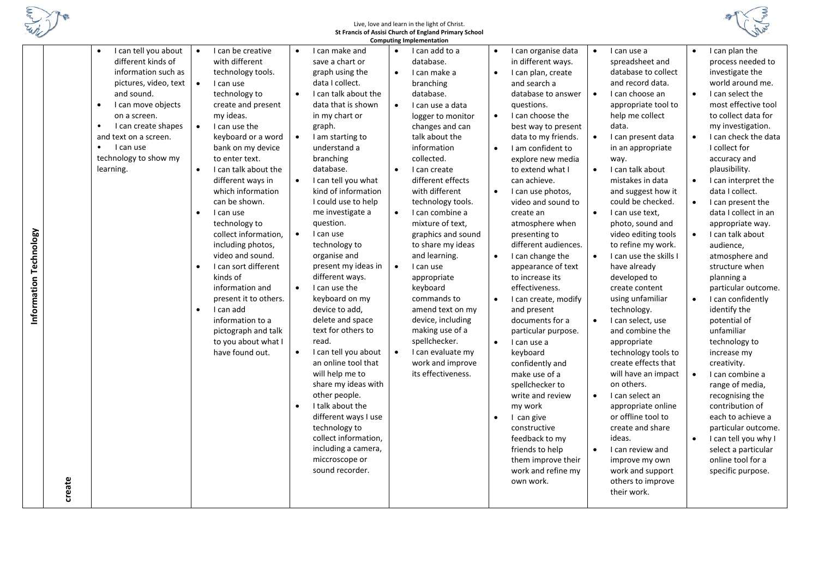

**Information Technology**

Information Technology

# Live, love and learn in the light of Christ. **St Francis of Assisi Church of England Primary School**



|        |                                   |           |                       |           |                      |           | <b>Computing Implementation</b> |           |                      |           |                        |           |                      |
|--------|-----------------------------------|-----------|-----------------------|-----------|----------------------|-----------|---------------------------------|-----------|----------------------|-----------|------------------------|-----------|----------------------|
|        | I can tell you about<br>$\bullet$ | $\bullet$ | I can be creative     |           | I can make and       | $\bullet$ | I can add to a                  | $\bullet$ | I can organise data  | $\bullet$ | I can use a            | $\bullet$ | I can plan the       |
|        | different kinds of                |           | with different        |           | save a chart or      |           | database.                       |           | in different ways.   |           | spreadsheet and        |           | process needed to    |
|        | information such as               |           | technology tools.     |           | graph using the      | $\bullet$ | I can make a                    | $\bullet$ | I can plan, create   |           | database to collect    |           | investigate the      |
|        | pictures, video, text             | $\bullet$ | I can use             |           | data I collect.      |           | branching                       |           | and search a         |           | and record data.       |           | world around me.     |
|        | and sound.                        |           | technology to         | $\bullet$ | I can talk about the |           | database.                       |           | database to answer   | $\bullet$ | I can choose an        | $\bullet$ | I can select the     |
|        | I can move objects<br>$\bullet$   |           | create and present    |           | data that is shown   | $\bullet$ | I can use a data                |           | questions.           |           | appropriate tool to    |           | most effective tool  |
|        | on a screen.                      |           | my ideas.             |           | in my chart or       |           | logger to monitor               | $\bullet$ | I can choose the     |           | help me collect        |           | to collect data for  |
|        | I can create shapes               | $\bullet$ | I can use the         |           | graph.               |           | changes and can                 |           | best way to present  |           | data.                  |           | my investigation.    |
|        | and text on a screen.             |           | keyboard or a word    | $\bullet$ | I am starting to     |           | talk about the                  |           | data to my friends.  | $\bullet$ | I can present data     | $\bullet$ | I can check the data |
|        | I can use<br>$\bullet$            |           | bank on my device     |           | understand a         |           | information                     | $\bullet$ | I am confident to    |           | in an appropriate      |           | I collect for        |
|        | technology to show my             |           | to enter text.        |           | branching            |           | collected.                      |           | explore new media    |           | way.                   |           | accuracy and         |
|        | learning.                         | $\bullet$ | I can talk about the  |           | database.            | $\bullet$ | I can create                    |           | to extend what I     | $\bullet$ | I can talk about       |           | plausibility.        |
|        |                                   |           | different ways in     | $\bullet$ | I can tell you what  |           | different effects               |           | can achieve.         |           | mistakes in data       | $\bullet$ | I can interpret the  |
|        |                                   |           | which information     |           | kind of information  |           | with different                  | $\bullet$ | I can use photos,    |           | and suggest how it     |           | data I collect.      |
|        |                                   |           | can be shown.         |           | I could use to help  |           | technology tools.               |           | video and sound to   |           | could be checked.      | $\bullet$ | I can present the    |
|        |                                   | $\bullet$ | I can use             |           | me investigate a     | $\bullet$ | I can combine a                 |           | create an            | $\bullet$ | I can use text,        |           | data I collect in an |
|        |                                   |           | technology to         |           | question.            |           | mixture of text,                |           | atmosphere when      |           | photo, sound and       |           | appropriate way.     |
|        |                                   |           | collect information,  | $\bullet$ | I can use            |           | graphics and sound              |           | presenting to        |           | video editing tools    | $\bullet$ | I can talk about     |
|        |                                   |           | including photos,     |           | technology to        |           | to share my ideas               |           | different audiences. |           | to refine my work.     |           | audience.            |
|        |                                   |           | video and sound.      |           | organise and         |           | and learning.                   | $\bullet$ | I can change the     | $\bullet$ | I can use the skills I |           | atmosphere and       |
|        |                                   | $\bullet$ | I can sort different  |           | present my ideas in  | $\bullet$ | I can use                       |           | appearance of text   |           | have already           |           | structure when       |
|        |                                   |           | kinds of              |           | different ways.      |           | appropriate                     |           | to increase its      |           | developed to           |           | planning a           |
|        |                                   |           | information and       | $\bullet$ | I can use the        |           | keyboard                        |           | effectiveness.       |           | create content         |           | particular outcome.  |
|        |                                   |           | present it to others. |           | keyboard on my       |           | commands to                     | $\bullet$ | I can create, modify |           | using unfamiliar       | $\bullet$ | I can confidently    |
|        |                                   | $\bullet$ | I can add             |           | device to add,       |           | amend text on my                |           | and present          |           | technology.            |           | identify the         |
|        |                                   |           | information to a      |           | delete and space     |           | device, including               |           | documents for a      | $\bullet$ | I can select, use      |           | potential of         |
|        |                                   |           | pictograph and talk   |           | text for others to   |           | making use of a                 |           | particular purpose.  |           | and combine the        |           | unfamiliar           |
|        |                                   |           | to you about what I   |           | read.                |           | spellchecker.                   | $\bullet$ | I can use a          |           | appropriate            |           | technology to        |
|        |                                   |           | have found out.       |           | I can tell you about | $\bullet$ | I can evaluate my               |           | keyboard             |           | technology tools to    |           | increase my          |
|        |                                   |           |                       |           | an online tool that  |           | work and improve                |           | confidently and      |           | create effects that    |           | creativity.          |
|        |                                   |           |                       |           | will help me to      |           | its effectiveness.              |           | make use of a        |           | will have an impact    |           | I can combine a      |
|        |                                   |           |                       |           | share my ideas with  |           |                                 |           | spellchecker to      |           | on others.             |           | range of media,      |
|        |                                   |           |                       |           | other people.        |           |                                 |           | write and review     | $\bullet$ | I can select an        |           | recognising the      |
|        |                                   |           |                       | $\bullet$ | I talk about the     |           |                                 |           | my work              |           | appropriate online     |           | contribution of      |
|        |                                   |           |                       |           | different ways I use |           |                                 | $\bullet$ | I can give           |           | or offline tool to     |           | each to achieve a    |
|        |                                   |           |                       |           | technology to        |           |                                 |           | constructive         |           | create and share       |           | particular outcome.  |
|        |                                   |           |                       |           | collect information, |           |                                 |           | feedback to my       |           | ideas.                 |           | I can tell you why I |
|        |                                   |           |                       |           | including a camera,  |           |                                 |           | friends to help      | $\bullet$ | I can review and       |           | select a particular  |
|        |                                   |           |                       |           | miccroscope or       |           |                                 |           | them improve their   |           | improve my own         |           | online tool for a    |
|        |                                   |           |                       |           | sound recorder.      |           |                                 |           | work and refine my   |           | work and support       |           | specific purpose.    |
|        |                                   |           |                       |           |                      |           |                                 |           | own work.            |           | others to improve      |           |                      |
| create |                                   |           |                       |           |                      |           |                                 |           |                      |           | their work.            |           |                      |
|        |                                   |           |                       |           |                      |           |                                 |           |                      |           |                        |           |                      |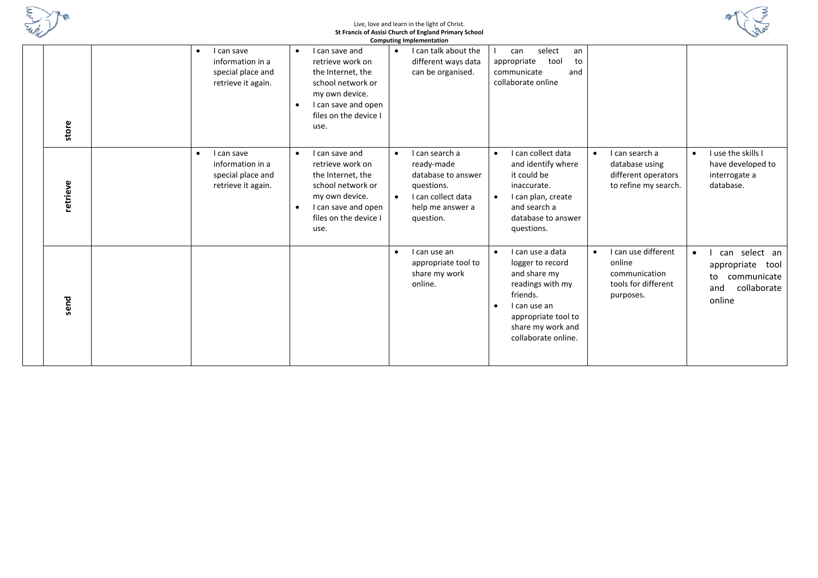

### Live, love and learn in the light of Christ. **St Francis of Assisi Church of England Primary School**



|          |                                                                                        |                                                                                                                                                                                  | <b>Computing Implementation</b>                                                                                                                   |                                                                                                                                                                                      |                                                                                    |                                                                                                        |
|----------|----------------------------------------------------------------------------------------|----------------------------------------------------------------------------------------------------------------------------------------------------------------------------------|---------------------------------------------------------------------------------------------------------------------------------------------------|--------------------------------------------------------------------------------------------------------------------------------------------------------------------------------------|------------------------------------------------------------------------------------|--------------------------------------------------------------------------------------------------------|
| store    | I can save<br>$\bullet$<br>information in a<br>special place and<br>retrieve it again. | I can save and<br>$\bullet$<br>retrieve work on<br>the Internet, the<br>school network or<br>my own device.<br>I can save and open<br>$\bullet$<br>files on the device I<br>use. | I can talk about the<br>$\bullet$<br>different ways data<br>can be organised.                                                                     | select<br>can<br>an<br>appropriate<br>tool<br>to<br>communicate<br>and<br>collaborate online                                                                                         |                                                                                    |                                                                                                        |
| retrieve | I can save<br>$\bullet$<br>information in a<br>special place and<br>retrieve it again. | I can save and<br>$\bullet$<br>retrieve work on<br>the Internet, the<br>school network or<br>my own device.<br>I can save and open<br>$\bullet$<br>files on the device I<br>use. | I can search a<br>$\bullet$<br>ready-made<br>database to answer<br>questions.<br>I can collect data<br>$\bullet$<br>help me answer a<br>question. | I can collect data<br>$\bullet$<br>and identify where<br>it could be<br>inaccurate.<br>I can plan, create<br>$\bullet$<br>and search a<br>database to answer<br>questions.           | I can search a<br>database using<br>different operators<br>to refine my search.    | I use the skills I<br>$\bullet$<br>have developed to<br>interrogate a<br>database.                     |
| send     |                                                                                        |                                                                                                                                                                                  | I can use an<br>$\bullet$<br>appropriate tool to<br>share my work<br>online.                                                                      | I can use a data<br>$\bullet$<br>logger to record<br>and share my<br>readings with my<br>friends.<br>I can use an<br>appropriate tool to<br>share my work and<br>collaborate online. | I can use different<br>online<br>communication<br>tools for different<br>purposes. | can select an<br>$\bullet$<br>appropriate<br>tool<br>communicate<br>to<br>collaborate<br>and<br>online |